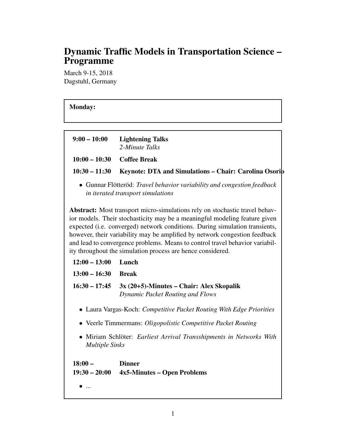# Dynamic Traffic Models in Transportation Science – Programme

March 9-15, 2018 Dagstuhl, Germany

# Monday:

| $9:00 - 10:00$                                                                                               | <b>Lightening Talks</b><br>2-Minute Talks                                                                                                                                                                                                                                                                                                                                                                                                                             |  |
|--------------------------------------------------------------------------------------------------------------|-----------------------------------------------------------------------------------------------------------------------------------------------------------------------------------------------------------------------------------------------------------------------------------------------------------------------------------------------------------------------------------------------------------------------------------------------------------------------|--|
| $10:00 - 10:30$                                                                                              | <b>Coffee Break</b>                                                                                                                                                                                                                                                                                                                                                                                                                                                   |  |
| $10:30 - 11:30$                                                                                              | Keynote: DTA and Simulations - Chair: Carolina Osorib                                                                                                                                                                                                                                                                                                                                                                                                                 |  |
| • Gunnar Flötteröd: Travel behavior variability and congestion feedback<br>in iterated transport simulations |                                                                                                                                                                                                                                                                                                                                                                                                                                                                       |  |
|                                                                                                              | Abstract: Most transport micro-simulations rely on stochastic travel behav-<br>ior models. Their stochasticity may be a meaningful modeling feature given<br>expected (i.e. converged) network conditions. During simulation transients,<br>however, their variability may be amplified by network congestion feedback<br>and lead to convergence problems. Means to control travel behavior variabil-<br>ity throughout the simulation process are hence considered. |  |
| $12:00 - 13:00$                                                                                              | Lunch                                                                                                                                                                                                                                                                                                                                                                                                                                                                 |  |
| $13:00 - 16:30$                                                                                              | <b>Break</b>                                                                                                                                                                                                                                                                                                                                                                                                                                                          |  |
| $16:30 - 17:45$                                                                                              | $3x(20+5)$ -Minutes – Chair: Alex Skopalik<br><b>Dynamic Packet Routing and Flows</b>                                                                                                                                                                                                                                                                                                                                                                                 |  |
| • Laura Vargas-Koch: Competitive Packet Routing With Edge Priorities                                         |                                                                                                                                                                                                                                                                                                                                                                                                                                                                       |  |
|                                                                                                              | Veerle Timmermans: Oligopolistic Competitive Packet Routing                                                                                                                                                                                                                                                                                                                                                                                                           |  |
| <b>Multiple Sinks</b>                                                                                        | Miriam Schlöter: Earliest Arrival Transshipments in Networks With                                                                                                                                                                                                                                                                                                                                                                                                     |  |
| $18:00 -$<br>$19:30 - 20:00$                                                                                 | <b>Dinner</b><br>4x5-Minutes – Open Problems                                                                                                                                                                                                                                                                                                                                                                                                                          |  |

 $\bullet$  ...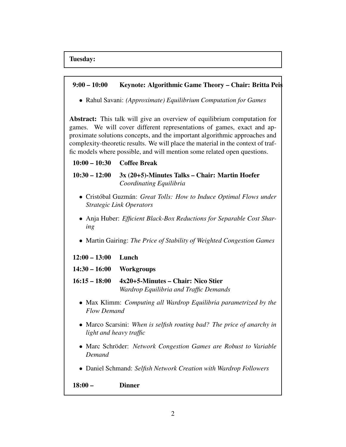

• Rahul Savani: *(Approximate) Equilibrium Computation for Games*

Abstract: This talk will give an overview of equilibrium computation for games. We will cover different representations of games, exact and approximate solutions concepts, and the important algorithmic approaches and complexity-theoretic results. We will place the material in the context of traffic models where possible, and will mention some related open questions.

#### 10:00 – 10:30 Coffee Break

## 10:30 – 12:00 3x (20+5)-Minutes Talks – Chair: Martin Hoefer *Coordinating Equilibria*

- Cristóbal Guzmán: *Great Tolls: How to Induce Optimal Flows under Strategic Link Operators*
- Anja Huber: *Efficient Black-Box Reductions for Separable Cost Sharing*
- Martin Gairing: *The Price of Stability of Weighted Congestion Games*

12:00 – 13:00 Lunch

14:30 – 16:00 Workgroups

- 16:15 18:00 4x20+5-Minutes Chair: Nico Stier *Wardrop Equilibria and Traffic Demands*
	- Max Klimm: *Computing all Wardrop Equilibria parametrized by the Flow Demand*
	- Marco Scarsini: *When is selfish routing bad? The price of anarchy in light and heavy traffic*
	- Marc Schröder: *Network Congestion Games are Robust to Variable Demand*
	- Daniel Schmand: *Selfish Network Creation with Wardrop Followers*

18:00 – Dinner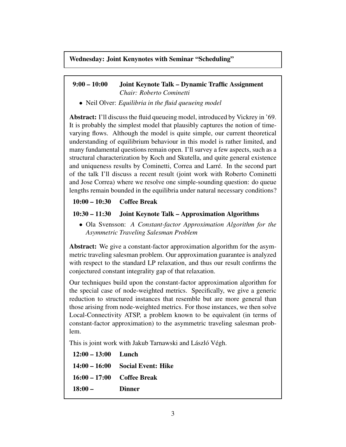#### Wednesday: Joint Kenynotes with Seminar "Scheduling"

#### 9:00 – 10:00 Joint Keynote Talk – Dynamic Traffic Assignment *Chair: Roberto Cominetti*

• Neil Olver: *Equilibria in the fluid queueing model*

Abstract: I'll discuss the fluid queueing model, introduced by Vickrey in '69. It is probably the simplest model that plausibly captures the notion of timevarying flows. Although the model is quite simple, our current theoretical understanding of equilibrium behaviour in this model is rather limited, and many fundamental questions remain open. I'll survey a few aspects, such as a structural characterization by Koch and Skutella, and quite general existence and uniqueness results by Cominetti, Correa and Larré. In the second part of the talk I'll discuss a recent result (joint work with Roberto Cominetti and Jose Correa) where we resolve one simple-sounding question: do queue lengths remain bounded in the equilibria under natural necessary conditions?

#### 10:00 – 10:30 Coffee Break

```
10:30 – 11:30 Joint Keynote Talk – Approximation Algorithms
```
• Ola Svensson: *A Constant-factor Approximation Algorithm for the Asymmetric Traveling Salesman Problem*

Abstract: We give a constant-factor approximation algorithm for the asymmetric traveling salesman problem. Our approximation guarantee is analyzed with respect to the standard LP relaxation, and thus our result confirms the conjectured constant integrality gap of that relaxation.

Our techniques build upon the constant-factor approximation algorithm for the special case of node-weighted metrics. Specifically, we give a generic reduction to structured instances that resemble but are more general than those arising from node-weighted metrics. For those instances, we then solve Local-Connectivity ATSP, a problem known to be equivalent (in terms of constant-factor approximation) to the asymmetric traveling salesman problem.

This is joint work with Jakub Tarnawski and László Végh.

| $12:00 - 13:00$ Lunch        |                                  |
|------------------------------|----------------------------------|
|                              | 14:00 – 16:00 Social Event: Hike |
| $16:00 - 17:00$ Coffee Break |                                  |
| $18:00-$                     | <b>Dinner</b>                    |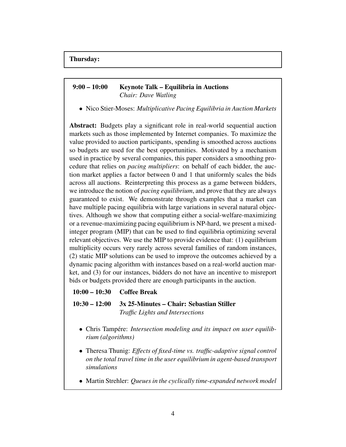## 9:00 – 10:00 Keynote Talk – Equilibria in Auctions *Chair: Dave Watling*

• Nico Stier-Moses: *Multiplicative Pacing Equilibria in Auction Markets*

Abstract: Budgets play a significant role in real-world sequential auction markets such as those implemented by Internet companies. To maximize the value provided to auction participants, spending is smoothed across auctions so budgets are used for the best opportunities. Motivated by a mechanism used in practice by several companies, this paper considers a smoothing procedure that relies on *pacing multipliers*: on behalf of each bidder, the auction market applies a factor between 0 and 1 that uniformly scales the bids across all auctions. Reinterpreting this process as a game between bidders, we introduce the notion of *pacing equilibrium*, and prove that they are always guaranteed to exist. We demonstrate through examples that a market can have multiple pacing equilibria with large variations in several natural objectives. Although we show that computing either a social-welfare-maximizing or a revenue-maximizing pacing equilibrium is NP-hard, we present a mixedinteger program (MIP) that can be used to find equilibria optimizing several relevant objectives. We use the MIP to provide evidence that: (1) equilibrium multiplicity occurs very rarely across several families of random instances, (2) static MIP solutions can be used to improve the outcomes achieved by a dynamic pacing algorithm with instances based on a real-world auction market, and (3) for our instances, bidders do not have an incentive to misreport bids or budgets provided there are enough participants in the auction.

#### 10:00 – 10:30 Coffee Break

10:30 – 12:00 3x 25-Minutes – Chair: Sebastian Stiller *Traffic Lights and Intersections*

- Chris Tampére: *Intersection modeling and its impact on user equilibrium (algorithms)*
- Theresa Thunig: *Effects of fixed-time vs. traffic-adaptive signal control on the total travel time in the user equilibrium in agent-based transport simulations*
- Martin Strehler: *Queues in the cyclically time-expanded network model*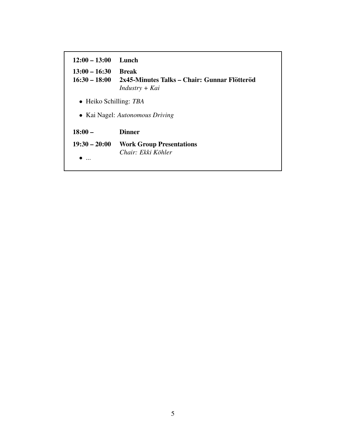| $12:00 - 13:00$                    | Lunch                                                                            |  |
|------------------------------------|----------------------------------------------------------------------------------|--|
| $13:00 - 16:30$<br>$16:30 - 18:00$ | <b>Break</b><br>2x45-Minutes Talks – Chair: Gunnar Flötteröd<br>$Industry + Kai$ |  |
| $\bullet$ Heiko Schilling: TBA     |                                                                                  |  |
| • Kai Nagel: Autonomous Driving    |                                                                                  |  |
| $18:00 -$                          | <b>Dinner</b>                                                                    |  |
| $19:30 - 20:00$                    | <b>Work Group Presentations</b><br>Chair: Ekki Köhler                            |  |